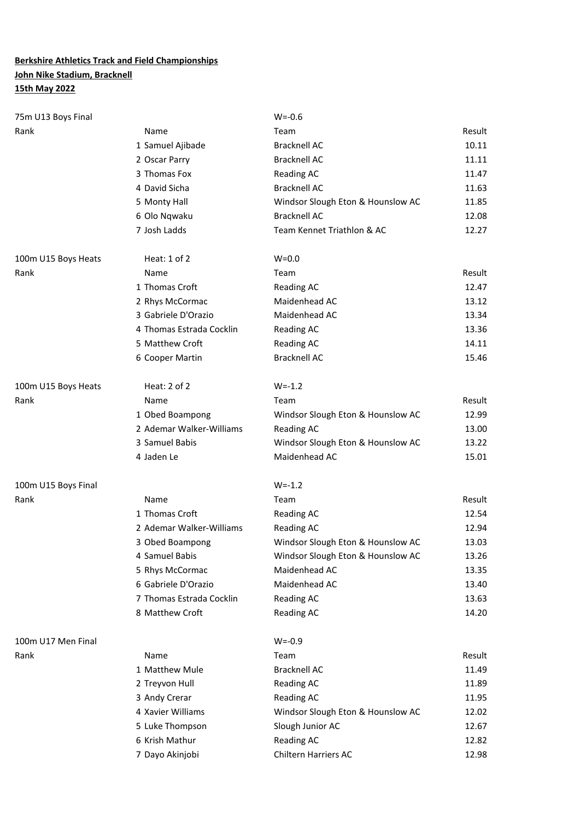#### **Berkshire Athletics Track and Field Championships John Nike Stadium, Bracknell**

#### **15th May 2022**

| 75m U13 Boys Final  |                          | $W = -0.6$                        |        |
|---------------------|--------------------------|-----------------------------------|--------|
| Rank                | Name                     | Team                              | Result |
|                     | 1 Samuel Ajibade         | <b>Bracknell AC</b>               | 10.11  |
|                     | 2 Oscar Parry            | <b>Bracknell AC</b>               | 11.11  |
|                     | 3 Thomas Fox             | <b>Reading AC</b>                 | 11.47  |
|                     | 4 David Sicha            | <b>Bracknell AC</b>               | 11.63  |
|                     | 5 Monty Hall             | Windsor Slough Eton & Hounslow AC | 11.85  |
|                     | 6 Olo Nqwaku             | <b>Bracknell AC</b>               | 12.08  |
|                     | 7 Josh Ladds             | Team Kennet Triathlon & AC        | 12.27  |
| 100m U15 Boys Heats | Heat: 1 of 2             | $W=0.0$                           |        |
| Rank                | Name                     | Team                              | Result |
|                     | 1 Thomas Croft           | <b>Reading AC</b>                 | 12.47  |
|                     | 2 Rhys McCormac          | Maidenhead AC                     | 13.12  |
|                     | 3 Gabriele D'Orazio      | Maidenhead AC                     | 13.34  |
|                     | 4 Thomas Estrada Cocklin | <b>Reading AC</b>                 | 13.36  |
|                     | 5 Matthew Croft          | <b>Reading AC</b>                 | 14.11  |
|                     | 6 Cooper Martin          | <b>Bracknell AC</b>               | 15.46  |
| 100m U15 Boys Heats | Heat: 2 of 2             | $W = -1.2$                        |        |
| Rank                | Name                     | Team                              | Result |
|                     | 1 Obed Boampong          | Windsor Slough Eton & Hounslow AC | 12.99  |
|                     | 2 Ademar Walker-Williams | <b>Reading AC</b>                 | 13.00  |
|                     | 3 Samuel Babis           | Windsor Slough Eton & Hounslow AC | 13.22  |
|                     | 4 Jaden Le               | Maidenhead AC                     | 15.01  |
| 100m U15 Boys Final |                          | $W = -1.2$                        |        |
| Rank                | Name                     | Team                              | Result |
|                     | 1 Thomas Croft           | <b>Reading AC</b>                 | 12.54  |
|                     | 2 Ademar Walker-Williams | Reading AC                        | 12.94  |
|                     | 3 Obed Boampong          | Windsor Slough Eton & Hounslow AC | 13.03  |
|                     | 4 Samuel Babis           | Windsor Slough Eton & Hounslow AC | 13.26  |
|                     | 5 Rhys McCormac          | Maidenhead AC                     | 13.35  |
|                     | 6 Gabriele D'Orazio      | Maidenhead AC                     | 13.40  |
|                     | 7 Thomas Estrada Cocklin | <b>Reading AC</b>                 | 13.63  |
|                     | 8 Matthew Croft          | <b>Reading AC</b>                 | 14.20  |
| 100m U17 Men Final  |                          | $W = -0.9$                        |        |
| Rank                | Name                     | Team                              | Result |
|                     | 1 Matthew Mule           | <b>Bracknell AC</b>               | 11.49  |
|                     | 2 Treyvon Hull           | <b>Reading AC</b>                 | 11.89  |
|                     | 3 Andy Crerar            | <b>Reading AC</b>                 | 11.95  |
|                     | 4 Xavier Williams        | Windsor Slough Eton & Hounslow AC | 12.02  |
|                     | 5 Luke Thompson          | Slough Junior AC                  | 12.67  |
|                     | 6 Krish Mathur           | <b>Reading AC</b>                 | 12.82  |
|                     | 7 Dayo Akinjobi          | Chiltern Harriers AC              | 12.98  |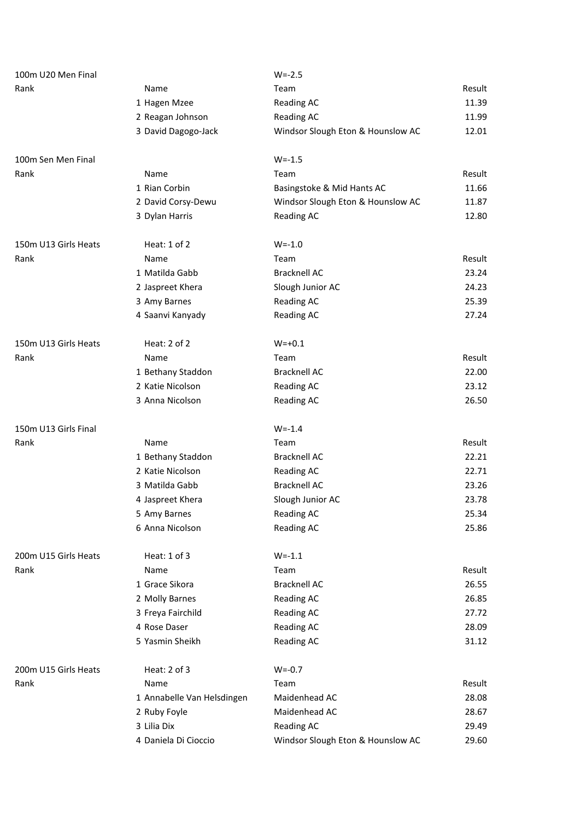| 100m U20 Men Final   |                            | $W = -2.5$                        |        |
|----------------------|----------------------------|-----------------------------------|--------|
| Rank                 | Name                       | Team                              | Result |
|                      | 1 Hagen Mzee               | <b>Reading AC</b>                 | 11.39  |
|                      | 2 Reagan Johnson           | <b>Reading AC</b>                 | 11.99  |
|                      | 3 David Dagogo-Jack        | Windsor Slough Eton & Hounslow AC | 12.01  |
| 100m Sen Men Final   |                            | $W = -1.5$                        |        |
| Rank                 | Name                       | Team                              | Result |
|                      | 1 Rian Corbin              | Basingstoke & Mid Hants AC        | 11.66  |
|                      | 2 David Corsy-Dewu         | Windsor Slough Eton & Hounslow AC | 11.87  |
|                      | 3 Dylan Harris             | <b>Reading AC</b>                 | 12.80  |
| 150m U13 Girls Heats | Heat: $1$ of $2$           | $W = -1.0$                        |        |
| Rank                 | Name                       | Team                              | Result |
|                      | 1 Matilda Gabb             | <b>Bracknell AC</b>               | 23.24  |
|                      | 2 Jaspreet Khera           | Slough Junior AC                  | 24.23  |
|                      | 3 Amy Barnes               | <b>Reading AC</b>                 | 25.39  |
|                      | 4 Saanvi Kanyady           | <b>Reading AC</b>                 | 27.24  |
| 150m U13 Girls Heats | Heat: 2 of 2               | $W = +0.1$                        |        |
| Rank                 | Name                       | Team                              | Result |
|                      | 1 Bethany Staddon          | <b>Bracknell AC</b>               | 22.00  |
|                      | 2 Katie Nicolson           | <b>Reading AC</b>                 | 23.12  |
|                      | 3 Anna Nicolson            | <b>Reading AC</b>                 | 26.50  |
| 150m U13 Girls Final |                            | $W = -1.4$                        |        |
| Rank                 | Name                       | Team                              | Result |
|                      | 1 Bethany Staddon          | <b>Bracknell AC</b>               | 22.21  |
|                      | 2 Katie Nicolson           | <b>Reading AC</b>                 | 22.71  |
|                      | 3 Matilda Gabb             | <b>Bracknell AC</b>               | 23.26  |
|                      | 4 Jaspreet Khera           | Slough Junior AC                  | 23.78  |
|                      | 5 Amy Barnes               | <b>Reading AC</b>                 | 25.34  |
|                      | 6 Anna Nicolson            | <b>Reading AC</b>                 | 25.86  |
| 200m U15 Girls Heats | Heat: 1 of 3               | $W = -1.1$                        |        |
| Rank                 | Name                       | Team                              | Result |
|                      | 1 Grace Sikora             | <b>Bracknell AC</b>               | 26.55  |
|                      | 2 Molly Barnes             | <b>Reading AC</b>                 | 26.85  |
|                      | 3 Freya Fairchild          | <b>Reading AC</b>                 | 27.72  |
|                      | 4 Rose Daser               | <b>Reading AC</b>                 | 28.09  |
|                      | 5 Yasmin Sheikh            | <b>Reading AC</b>                 | 31.12  |
| 200m U15 Girls Heats | Heat: 2 of 3               | $W = -0.7$                        |        |
| Rank                 | Name                       | Team                              | Result |
|                      | 1 Annabelle Van Helsdingen | Maidenhead AC                     | 28.08  |
|                      | 2 Ruby Foyle               | Maidenhead AC                     | 28.67  |
|                      | 3 Lilia Dix                | <b>Reading AC</b>                 | 29.49  |
|                      | 4 Daniela Di Cioccio       | Windsor Slough Eton & Hounslow AC | 29.60  |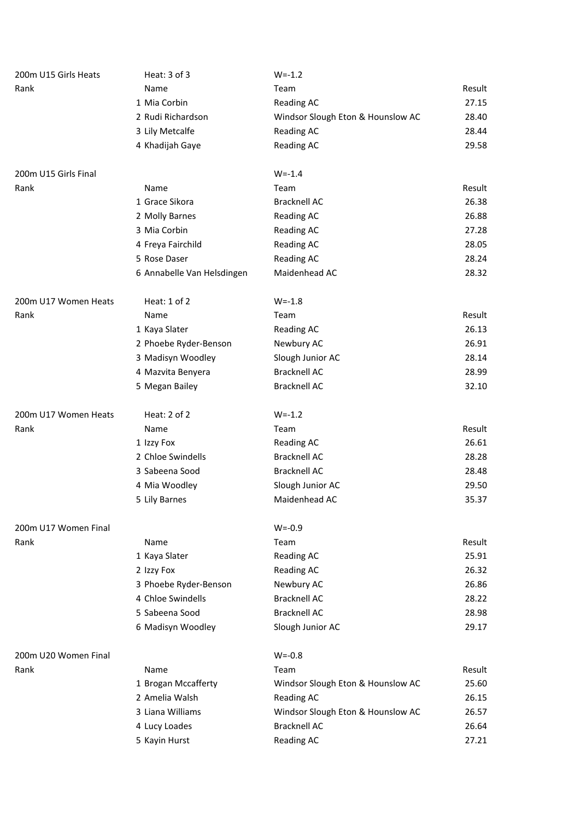| 200m U15 Girls Heats | Heat: $3$ of $3$           | $W = -1.2$                        |        |
|----------------------|----------------------------|-----------------------------------|--------|
| Rank                 | Name                       | Team                              | Result |
|                      | 1 Mia Corbin               | <b>Reading AC</b>                 | 27.15  |
|                      | 2 Rudi Richardson          | Windsor Slough Eton & Hounslow AC | 28.40  |
|                      | 3 Lily Metcalfe            | Reading AC                        | 28.44  |
|                      | 4 Khadijah Gaye            | <b>Reading AC</b>                 | 29.58  |
| 200m U15 Girls Final |                            | $W = -1.4$                        |        |
| Rank                 | Name                       | Team                              | Result |
|                      | 1 Grace Sikora             | <b>Bracknell AC</b>               | 26.38  |
|                      | 2 Molly Barnes             | <b>Reading AC</b>                 | 26.88  |
|                      | 3 Mia Corbin               | <b>Reading AC</b>                 | 27.28  |
|                      | 4 Freya Fairchild          | <b>Reading AC</b>                 | 28.05  |
|                      | 5 Rose Daser               | <b>Reading AC</b>                 | 28.24  |
|                      | 6 Annabelle Van Helsdingen | Maidenhead AC                     | 28.32  |
| 200m U17 Women Heats | Heat: 1 of 2               | $W = -1.8$                        |        |
| Rank                 | Name                       | Team                              | Result |
|                      | 1 Kaya Slater              | <b>Reading AC</b>                 | 26.13  |
|                      | 2 Phoebe Ryder-Benson      | Newbury AC                        | 26.91  |
|                      | 3 Madisyn Woodley          | Slough Junior AC                  | 28.14  |
|                      | 4 Mazvita Benyera          | <b>Bracknell AC</b>               | 28.99  |
|                      | 5 Megan Bailey             | <b>Bracknell AC</b>               | 32.10  |
| 200m U17 Women Heats | Heat: 2 of 2               | $W = -1.2$                        |        |
| Rank                 | Name                       | Team                              | Result |
|                      | 1 Izzy Fox                 | <b>Reading AC</b>                 | 26.61  |
|                      | 2 Chloe Swindells          | <b>Bracknell AC</b>               | 28.28  |
|                      | 3 Sabeena Sood             | <b>Bracknell AC</b>               | 28.48  |
|                      | 4 Mia Woodley              | Slough Junior AC                  | 29.50  |
|                      | 5 Lily Barnes              | Maidenhead AC                     | 35.37  |
| 200m U17 Women Final |                            | $W = -0.9$                        |        |
| Rank                 | Name                       | Team                              | Result |
|                      | 1 Kaya Slater              | <b>Reading AC</b>                 | 25.91  |
|                      | 2 Izzy Fox                 | <b>Reading AC</b>                 | 26.32  |
|                      | 3 Phoebe Ryder-Benson      | Newbury AC                        | 26.86  |
|                      | 4 Chloe Swindells          | <b>Bracknell AC</b>               | 28.22  |
|                      | 5 Sabeena Sood             | <b>Bracknell AC</b>               | 28.98  |
|                      | 6 Madisyn Woodley          | Slough Junior AC                  | 29.17  |
| 200m U20 Women Final |                            | $W = -0.8$                        |        |
| Rank                 | Name                       | Team                              | Result |
|                      | 1 Brogan Mccafferty        | Windsor Slough Eton & Hounslow AC | 25.60  |
|                      | 2 Amelia Walsh             | <b>Reading AC</b>                 | 26.15  |
|                      | 3 Liana Williams           | Windsor Slough Eton & Hounslow AC | 26.57  |
|                      | 4 Lucy Loades              | <b>Bracknell AC</b>               | 26.64  |
|                      | 5 Kayin Hurst              | Reading AC                        | 27.21  |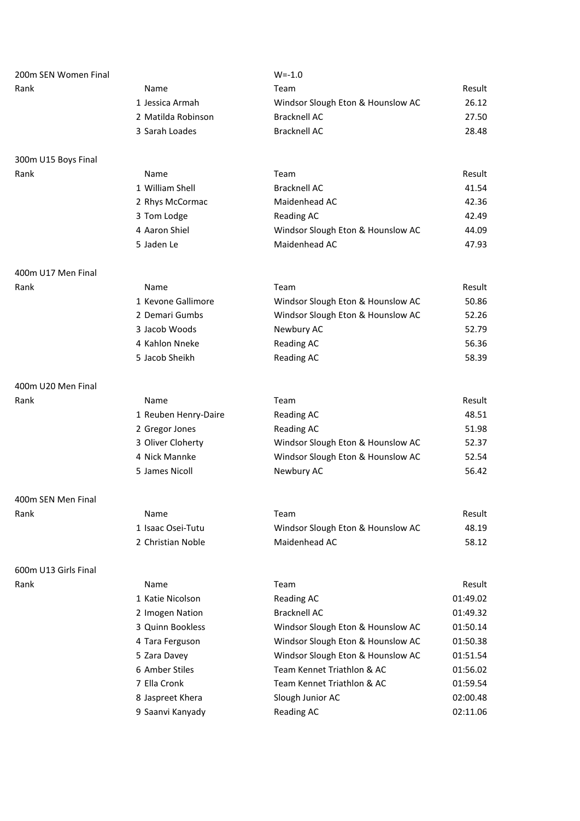| 200m SEN Women Final |                      | $W = -1.0$                        |          |
|----------------------|----------------------|-----------------------------------|----------|
| Rank                 | Name                 | Team                              | Result   |
|                      | 1 Jessica Armah      | Windsor Slough Eton & Hounslow AC | 26.12    |
|                      | 2 Matilda Robinson   | <b>Bracknell AC</b>               | 27.50    |
|                      | 3 Sarah Loades       | <b>Bracknell AC</b>               | 28.48    |
| 300m U15 Boys Final  |                      |                                   |          |
| Rank                 | Name                 | Team                              | Result   |
|                      | 1 William Shell      | <b>Bracknell AC</b>               | 41.54    |
|                      | 2 Rhys McCormac      | Maidenhead AC                     | 42.36    |
|                      | 3 Tom Lodge          | <b>Reading AC</b>                 | 42.49    |
|                      | 4 Aaron Shiel        | Windsor Slough Eton & Hounslow AC | 44.09    |
|                      | 5 Jaden Le           | Maidenhead AC                     | 47.93    |
| 400m U17 Men Final   |                      |                                   |          |
| Rank                 | Name                 | Team                              | Result   |
|                      | 1 Kevone Gallimore   | Windsor Slough Eton & Hounslow AC | 50.86    |
|                      | 2 Demari Gumbs       | Windsor Slough Eton & Hounslow AC | 52.26    |
|                      | 3 Jacob Woods        | Newbury AC                        | 52.79    |
|                      | 4 Kahlon Nneke       | <b>Reading AC</b>                 | 56.36    |
|                      | 5 Jacob Sheikh       | <b>Reading AC</b>                 | 58.39    |
| 400m U20 Men Final   |                      |                                   |          |
| Rank                 | Name                 | Team                              | Result   |
|                      | 1 Reuben Henry-Daire | <b>Reading AC</b>                 | 48.51    |
|                      | 2 Gregor Jones       | <b>Reading AC</b>                 | 51.98    |
|                      | 3 Oliver Cloherty    | Windsor Slough Eton & Hounslow AC | 52.37    |
|                      | 4 Nick Mannke        | Windsor Slough Eton & Hounslow AC | 52.54    |
|                      | 5 James Nicoll       | Newbury AC                        | 56.42    |
| 400m SEN Men Final   |                      |                                   |          |
| Rank                 | Name                 | Team                              | Result   |
|                      | 1 Isaac Osei-Tutu    | Windsor Slough Eton & Hounslow AC | 48.19    |
|                      | 2 Christian Noble    | Maidenhead AC                     | 58.12    |
| 600m U13 Girls Final |                      |                                   |          |
| Rank                 | Name                 | Team                              | Result   |
|                      | 1 Katie Nicolson     | <b>Reading AC</b>                 | 01:49.02 |
|                      | 2 Imogen Nation      | <b>Bracknell AC</b>               | 01:49.32 |
|                      | 3 Quinn Bookless     | Windsor Slough Eton & Hounslow AC | 01:50.14 |
|                      | 4 Tara Ferguson      | Windsor Slough Eton & Hounslow AC | 01:50.38 |
|                      | 5 Zara Davey         | Windsor Slough Eton & Hounslow AC | 01:51.54 |
|                      | 6 Amber Stiles       | Team Kennet Triathlon & AC        | 01:56.02 |
|                      | 7 Ella Cronk         | Team Kennet Triathlon & AC        | 01:59.54 |
|                      | 8 Jaspreet Khera     | Slough Junior AC                  | 02:00.48 |
|                      | 9 Saanvi Kanyady     | <b>Reading AC</b>                 | 02:11.06 |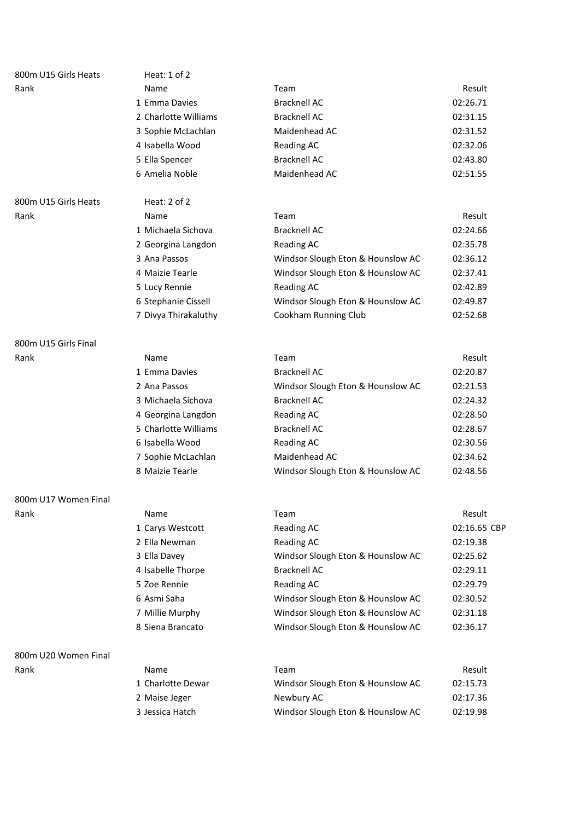| 800m U15 Girls Heats | Heat: 1 of 2         |                                   |              |
|----------------------|----------------------|-----------------------------------|--------------|
| Rank                 | Name                 | Team                              | Result       |
|                      | 1 Emma Davies        | <b>Bracknell AC</b>               | 02:26.71     |
|                      | 2 Charlotte Williams | <b>Bracknell AC</b>               | 02:31.15     |
|                      | 3 Sophie McLachlan   | Maidenhead AC                     | 02:31.52     |
|                      | 4 Isabella Wood      | <b>Reading AC</b>                 | 02:32.06     |
|                      | 5 Ella Spencer       | <b>Bracknell AC</b>               | 02:43.80     |
|                      | 6 Amelia Noble       | Maidenhead AC                     | 02:51.55     |
| 800m U15 Girls Heats | Heat: $2$ of $2$     |                                   |              |
| Rank                 | Name                 | Team                              | Result       |
|                      | 1 Michaela Sichova   | <b>Bracknell AC</b>               | 02:24.66     |
|                      | 2 Georgina Langdon   | <b>Reading AC</b>                 | 02:35.78     |
|                      | 3 Ana Passos         | Windsor Slough Eton & Hounslow AC | 02:36.12     |
|                      | 4 Maizie Tearle      | Windsor Slough Eton & Hounslow AC | 02:37.41     |
|                      | 5 Lucy Rennie        | <b>Reading AC</b>                 | 02:42.89     |
|                      | 6 Stephanie Cissell  | Windsor Slough Eton & Hounslow AC | 02:49.87     |
|                      | 7 Divya Thirakaluthy | Cookham Running Club              | 02:52.68     |
| 800m U15 Girls Final |                      |                                   |              |
| Rank                 | Name                 | Team                              | Result       |
|                      | 1 Emma Davies        | <b>Bracknell AC</b>               | 02:20.87     |
|                      | 2 Ana Passos         | Windsor Slough Eton & Hounslow AC | 02:21.53     |
|                      | 3 Michaela Sichova   | <b>Bracknell AC</b>               | 02:24.32     |
|                      | 4 Georgina Langdon   | <b>Reading AC</b>                 | 02:28.50     |
|                      | 5 Charlotte Williams | <b>Bracknell AC</b>               | 02:28.67     |
|                      | 6 Isabella Wood      | <b>Reading AC</b>                 | 02:30.56     |
|                      | 7 Sophie McLachlan   | Maidenhead AC                     | 02:34.62     |
|                      | 8 Maizie Tearle      | Windsor Slough Eton & Hounslow AC | 02:48.56     |
| 800m U17 Women Final |                      |                                   |              |
| Rank                 | Name                 | Team                              | Result       |
|                      | 1 Carys Westcott     | <b>Reading AC</b>                 | 02:16.65 CBP |
|                      | 2 Ella Newman        | <b>Reading AC</b>                 | 02:19.38     |
|                      | 3 Ella Davey         | Windsor Slough Eton & Hounslow AC | 02:25.62     |
|                      | 4 Isabelle Thorpe    | <b>Bracknell AC</b>               | 02:29.11     |
|                      | 5 Zoe Rennie         | <b>Reading AC</b>                 | 02:29.79     |
|                      | 6 Asmi Saha          | Windsor Slough Eton & Hounslow AC | 02:30.52     |
|                      | 7 Millie Murphy      | Windsor Slough Eton & Hounslow AC | 02:31.18     |
|                      | 8 Siena Brancato     | Windsor Slough Eton & Hounslow AC | 02:36.17     |
| 800m U20 Women Final |                      |                                   |              |
| Rank                 | Name                 | Team                              | Result       |
|                      | 1 Charlotte Dewar    | Windsor Slough Eton & Hounslow AC | 02:15.73     |
|                      | 2 Maise Jeger        | Newbury AC                        | 02:17.36     |
|                      | 3 Jessica Hatch      | Windsor Slough Eton & Hounslow AC | 02:19.98     |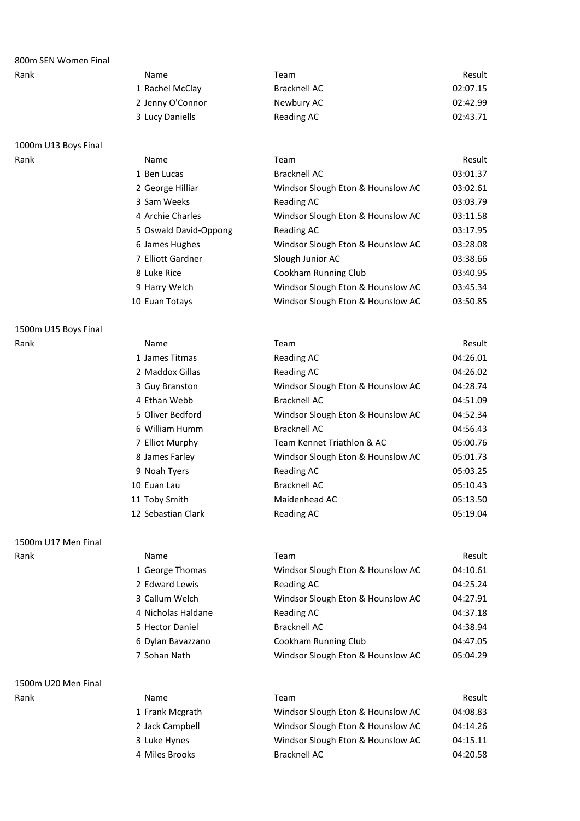| 800m SEN Women Final |                  |                                   |          |
|----------------------|------------------|-----------------------------------|----------|
| Rank                 | Name             | Team                              | Result   |
|                      | 1 Rachel McClay  | Bracknell AC                      | 02:07.15 |
|                      | 2 Jenny O'Connor | Newbury AC                        | 02:42.99 |
|                      | 3 Lucy Daniells  | Reading AC                        | 02:43.71 |
| 1000m U13 Boys Final |                  |                                   |          |
| Rank                 | Name             | Team                              | Result   |
|                      | 1 Ben Lucas      | Bracknell AC                      | 03:01.37 |
|                      | 2 George Hilliar | Windsor Slough Eton & Hounslow AC | 03:02.61 |

| 3 Sam Weeks<br>Reading AC                                         | 03:03.79 |
|-------------------------------------------------------------------|----------|
|                                                                   |          |
| 03:11.58<br>4 Archie Charles<br>Windsor Slough Eton & Hounslow AC |          |
| 03:17.95<br>5 Oswald David-Oppong<br>Reading AC                   |          |
| Windsor Slough Eton & Hounslow AC<br>6 James Hughes               | 03:28.08 |
| 7 Elliott Gardner<br>Slough Junior AC                             | 03:38.66 |
| Cookham Running Club<br>8 Luke Rice                               | 03:40.95 |
| 9 Harry Welch<br>Windsor Slough Eton & Hounslow AC                | 03:45.34 |
| Windsor Slough Eton & Hounslow AC<br>10 Euan Totays               | 03:50.85 |

### 1500m U15 Boys Final

| Rank | Name               | Team                              | Result   |
|------|--------------------|-----------------------------------|----------|
|      | 1 James Titmas     | Reading AC                        | 04:26.01 |
|      | 2 Maddox Gillas    | Reading AC                        | 04:26.02 |
|      | 3 Guy Branston     | Windsor Slough Eton & Hounslow AC | 04:28.74 |
|      | 4 Ethan Webb       | <b>Bracknell AC</b>               | 04:51.09 |
|      | 5 Oliver Bedford   | Windsor Slough Eton & Hounslow AC | 04:52.34 |
|      | 6 William Humm     | <b>Bracknell AC</b>               | 04:56.43 |
|      | 7 Elliot Murphy    | Team Kennet Triathlon & AC        | 05:00.76 |
|      | 8 James Farley     | Windsor Slough Eton & Hounslow AC | 05:01.73 |
|      | 9 Noah Tyers       | <b>Reading AC</b>                 | 05:03.25 |
|      | 10 Euan Lau        | <b>Bracknell AC</b>               | 05:10.43 |
|      | 11 Toby Smith      | Maidenhead AC                     | 05:13.50 |
|      | 12 Sebastian Clark | Reading AC                        | 05:19.04 |
|      |                    |                                   |          |

1500m U17 Men Final

1500m U20 Men Final

| Rank | <b>Name</b>        | Team                              | Result   |
|------|--------------------|-----------------------------------|----------|
|      | 1 George Thomas    | Windsor Slough Eton & Hounslow AC | 04:10.61 |
|      | 2 Edward Lewis     | Reading AC                        | 04:25.24 |
|      | 3 Callum Welch     | Windsor Slough Eton & Hounslow AC | 04:27.91 |
|      | 4 Nicholas Haldane | Reading AC                        | 04:37.18 |
|      | 5 Hector Daniel    | <b>Bracknell AC</b>               | 04:38.94 |
|      | 6 Dylan Bavazzano  | Cookham Running Club              | 04:47.05 |
|      | 7 Sohan Nath       | Windsor Slough Eton & Hounslow AC | 05:04.29 |
|      |                    |                                   |          |

| Rank | Name            | Team                              | Result   |
|------|-----------------|-----------------------------------|----------|
|      | 1 Frank Mcgrath | Windsor Slough Eton & Hounslow AC | 04:08.83 |
|      | 2 Jack Campbell | Windsor Slough Eton & Hounslow AC | 04:14.26 |
|      | 3 Luke Hynes    | Windsor Slough Eton & Hounslow AC | 04:15.11 |
|      | 4 Miles Brooks  | <b>Bracknell AC</b>               | 04:20.58 |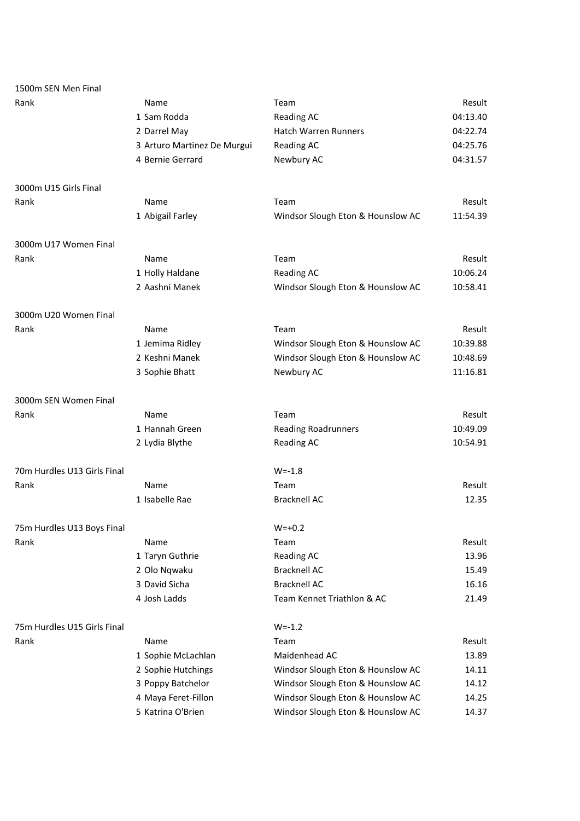| 1500m SEN Men Final         |                             |                                   |          |
|-----------------------------|-----------------------------|-----------------------------------|----------|
| Rank                        | Name                        | Team                              | Result   |
|                             | 1 Sam Rodda                 | <b>Reading AC</b>                 | 04:13.40 |
|                             | 2 Darrel May                | <b>Hatch Warren Runners</b>       | 04:22.74 |
|                             | 3 Arturo Martinez De Murgui | <b>Reading AC</b>                 | 04:25.76 |
|                             | 4 Bernie Gerrard            | Newbury AC                        | 04:31.57 |
| 3000m U15 Girls Final       |                             |                                   |          |
| Rank                        | Name                        | Team                              | Result   |
|                             | 1 Abigail Farley            | Windsor Slough Eton & Hounslow AC | 11:54.39 |
| 3000m U17 Women Final       |                             |                                   |          |
| Rank                        | Name                        | Team                              | Result   |
|                             | 1 Holly Haldane             | <b>Reading AC</b>                 | 10:06.24 |
|                             | 2 Aashni Manek              | Windsor Slough Eton & Hounslow AC | 10:58.41 |
| 3000m U20 Women Final       |                             |                                   |          |
| Rank                        | Name                        | Team                              | Result   |
|                             | 1 Jemima Ridley             | Windsor Slough Eton & Hounslow AC | 10:39.88 |
|                             | 2 Keshni Manek              | Windsor Slough Eton & Hounslow AC | 10:48.69 |
|                             | 3 Sophie Bhatt              | Newbury AC                        | 11:16.81 |
| 3000m SEN Women Final       |                             |                                   |          |
| Rank                        | Name                        | Team                              | Result   |
|                             | 1 Hannah Green              | <b>Reading Roadrunners</b>        | 10:49.09 |
|                             | 2 Lydia Blythe              | <b>Reading AC</b>                 | 10:54.91 |
| 70m Hurdles U13 Girls Final |                             | $W = -1.8$                        |          |
| Rank                        | Name                        | Team                              | Result   |
|                             | 1 Isabelle Rae              | <b>Bracknell AC</b>               | 12.35    |
| 75m Hurdles U13 Boys Final  |                             | $W = +0.2$                        |          |
| Rank                        | Name                        | Team                              | Result   |
|                             | 1 Taryn Guthrie             | Reading AC                        | 13.96    |
|                             | 2 Olo Nqwaku                | <b>Bracknell AC</b>               | 15.49    |
|                             | 3 David Sicha               | <b>Bracknell AC</b>               | 16.16    |
|                             | 4 Josh Ladds                | Team Kennet Triathlon & AC        | 21.49    |
| 75m Hurdles U15 Girls Final |                             | $W = -1.2$                        |          |
| Rank                        | Name                        | Team                              | Result   |
|                             | 1 Sophie McLachlan          | Maidenhead AC                     | 13.89    |
|                             | 2 Sophie Hutchings          | Windsor Slough Eton & Hounslow AC | 14.11    |
|                             | 3 Poppy Batchelor           | Windsor Slough Eton & Hounslow AC | 14.12    |
|                             | 4 Maya Feret-Fillon         | Windsor Slough Eton & Hounslow AC | 14.25    |
|                             | 5 Katrina O'Brien           | Windsor Slough Eton & Hounslow AC | 14.37    |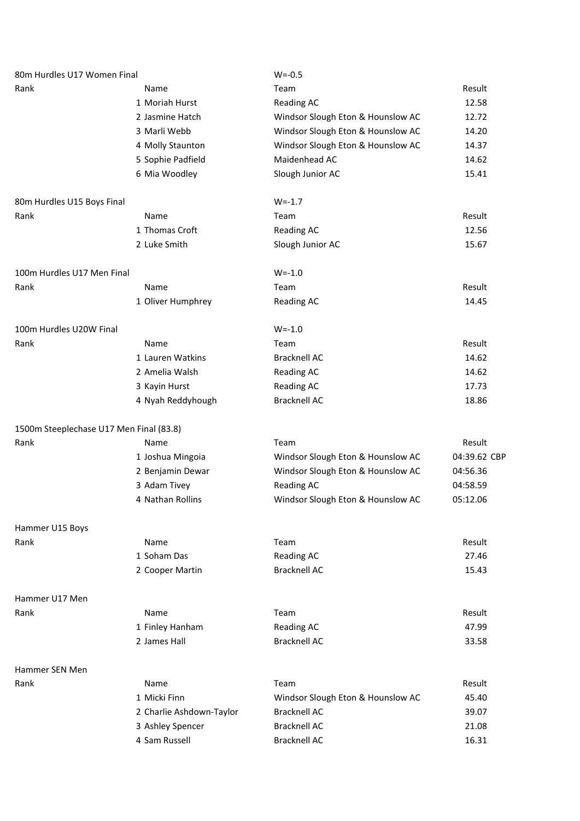| 80m Hurdles U17 Women Final             |                          | $W = -0.5$                        |              |  |
|-----------------------------------------|--------------------------|-----------------------------------|--------------|--|
| Rank                                    | Name                     | Team                              | Result       |  |
|                                         | 1 Moriah Hurst           | <b>Reading AC</b>                 | 12.58        |  |
|                                         | 2 Jasmine Hatch          | Windsor Slough Eton & Hounslow AC | 12.72        |  |
|                                         | 3 Marli Webb             | Windsor Slough Eton & Hounslow AC | 14.20        |  |
|                                         | 4 Molly Staunton         | Windsor Slough Eton & Hounslow AC | 14.37        |  |
|                                         | 5 Sophie Padfield        | Maidenhead AC                     | 14.62        |  |
|                                         | 6 Mia Woodley            | Slough Junior AC                  | 15.41        |  |
| 80m Hurdles U15 Boys Final              |                          | $W = -1.7$                        |              |  |
| Rank                                    | Name                     | Team                              | Result       |  |
|                                         | 1 Thomas Croft           | <b>Reading AC</b>                 | 12.56        |  |
|                                         | 2 Luke Smith             | Slough Junior AC                  | 15.67        |  |
| 100m Hurdles U17 Men Final              |                          | $W = -1.0$                        |              |  |
| Rank                                    | Name                     | Team                              | Result       |  |
|                                         | 1 Oliver Humphrey        | <b>Reading AC</b>                 | 14.45        |  |
| 100m Hurdles U20W Final                 |                          | $W = -1.0$                        |              |  |
| Rank                                    | Name                     | Team                              | Result       |  |
|                                         | 1 Lauren Watkins         | <b>Bracknell AC</b>               | 14.62        |  |
|                                         | 2 Amelia Walsh           | <b>Reading AC</b>                 | 14.62        |  |
|                                         | 3 Kayin Hurst            | <b>Reading AC</b>                 | 17.73        |  |
|                                         | 4 Nyah Reddyhough        | <b>Bracknell AC</b>               | 18.86        |  |
| 1500m Steeplechase U17 Men Final (83.8) |                          |                                   |              |  |
| Rank                                    | Name                     | Team                              | Result       |  |
|                                         | 1 Joshua Mingoia         | Windsor Slough Eton & Hounslow AC | 04:39.62 CBP |  |
|                                         | 2 Benjamin Dewar         | Windsor Slough Eton & Hounslow AC | 04:56.36     |  |
|                                         | 3 Adam Tivey             | <b>Reading AC</b>                 | 04:58.59     |  |
|                                         | 4 Nathan Rollins         | Windsor Slough Eton & Hounslow AC | 05:12.06     |  |
| Hammer U15 Boys                         |                          |                                   |              |  |
| Rank                                    | Name                     | Team                              | Result       |  |
|                                         | 1 Soham Das              | <b>Reading AC</b>                 | 27.46        |  |
|                                         | 2 Cooper Martin          | <b>Bracknell AC</b>               | 15.43        |  |
| Hammer U17 Men                          |                          |                                   |              |  |
| Rank                                    | Name                     | Team                              | Result       |  |
|                                         | 1 Finley Hanham          | <b>Reading AC</b>                 | 47.99        |  |
|                                         | 2 James Hall             | <b>Bracknell AC</b>               | 33.58        |  |
| Hammer SEN Men                          |                          |                                   |              |  |
| Rank                                    | Name                     | Team                              | Result       |  |
|                                         | 1 Micki Finn             | Windsor Slough Eton & Hounslow AC | 45.40        |  |
|                                         | 2 Charlie Ashdown-Taylor | <b>Bracknell AC</b>               | 39.07        |  |
|                                         | 3 Ashley Spencer         | <b>Bracknell AC</b>               | 21.08        |  |
|                                         | 4 Sam Russell            | <b>Bracknell AC</b>               | 16.31        |  |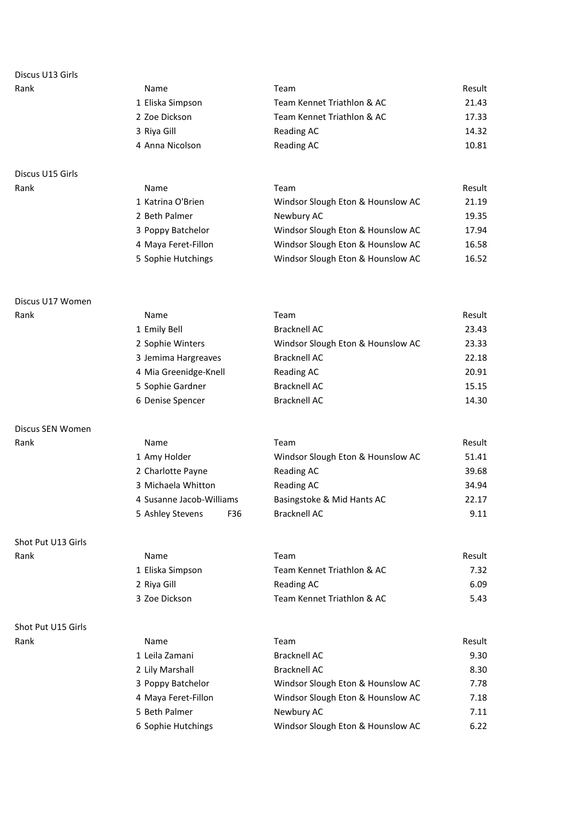| <b>Name</b>      | Team                       | Result |
|------------------|----------------------------|--------|
| 1 Eliska Simpson | Team Kennet Triathlon & AC | 21.43  |
| 2 Zoe Dickson    | Team Kennet Triathlon & AC | 17.33  |
| 3 Riva Gill      | Reading AC                 | 14.32  |
| 4 Anna Nicolson  | Reading AC                 | 10.81  |
|                  |                            |        |

# Discus U15 Girls

| Rank | <b>Name</b>         | Team                              | Result |
|------|---------------------|-----------------------------------|--------|
|      | 1 Katrina O'Brien   | Windsor Slough Eton & Hounslow AC | 21.19  |
|      | 2 Beth Palmer       | Newbury AC                        | 19.35  |
|      | 3 Poppy Batchelor   | Windsor Slough Eton & Hounslow AC | 17.94  |
|      | 4 Maya Feret-Fillon | Windsor Slough Eton & Hounslow AC | 16.58  |
|      | 5 Sophie Hutchings  | Windsor Slough Eton & Hounslow AC | 16.52  |
|      |                     |                                   |        |

#### Discus U17 Women

| Rank | Name                  | Team                              | Result |
|------|-----------------------|-----------------------------------|--------|
|      | 1 Emily Bell          | Bracknell AC                      | 23.43  |
|      | 2 Sophie Winters      | Windsor Slough Eton & Hounslow AC | 23.33  |
|      | 3 Jemima Hargreaves   | Bracknell AC                      | 22.18  |
|      | 4 Mia Greenidge-Knell | Reading AC                        | 20.91  |
|      | 5 Sophie Gardner      | Bracknell AC                      | 15.15  |
|      | 6 Denise Spencer      | Bracknell AC                      | 14.30  |

#### Discus SEN Women

| Rank | Name                     |     | Team                              | Result |
|------|--------------------------|-----|-----------------------------------|--------|
|      | 1 Amy Holder             |     | Windsor Slough Eton & Hounslow AC | 51.41  |
|      | 2 Charlotte Payne        |     | Reading AC                        | 39.68  |
|      | 3 Michaela Whitton       |     | Reading AC                        | 34.94  |
|      | 4 Susanne Jacob-Williams |     | Basingstoke & Mid Hants AC        | 22.17  |
|      | 5 Ashley Stevens         | F36 | <b>Bracknell AC</b>               | 9.11   |

# Shot Put U13 Girls

| Shot Put U15 Girls |  |
|--------------------|--|
| Rank               |  |

| Rank | <b>Name</b>      | Team                       | Result |
|------|------------------|----------------------------|--------|
|      | 1 Eliska Simpson | Team Kennet Triathlon & AC | 7.32   |
|      | 2 Riya Gill      | Reading AC                 | 6.09   |
|      | 3 Zoe Dickson    | Team Kennet Triathlon & AC | 5.43   |

| Rank | Name                | Team                              | Result |
|------|---------------------|-----------------------------------|--------|
|      | 1 Leila Zamani      | Bracknell AC                      | 9.30   |
|      | 2 Lily Marshall     | <b>Bracknell AC</b>               | 8.30   |
|      | 3 Poppy Batchelor   | Windsor Slough Eton & Hounslow AC | 7.78   |
|      | 4 Maya Feret-Fillon | Windsor Slough Eton & Hounslow AC | 7.18   |
|      | 5 Beth Palmer       | Newbury AC                        | 7.11   |
|      | 6 Sophie Hutchings  | Windsor Slough Eton & Hounslow AC | 6.22   |
|      |                     |                                   |        |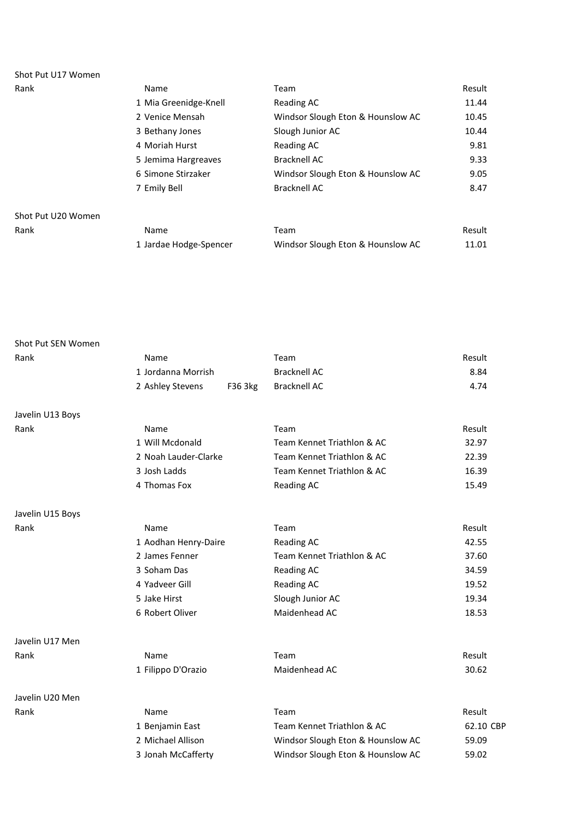| Shot Put U17 Women |                        |                                   |        |
|--------------------|------------------------|-----------------------------------|--------|
| Rank               | Name                   | Team                              | Result |
|                    | 1 Mia Greenidge-Knell  | Reading AC                        | 11.44  |
|                    | 2 Venice Mensah        | Windsor Slough Eton & Hounslow AC | 10.45  |
|                    | 3 Bethany Jones        | Slough Junior AC                  | 10.44  |
|                    | 4 Moriah Hurst         | Reading AC                        | 9.81   |
|                    | 5 Jemima Hargreaves    | <b>Bracknell AC</b>               | 9.33   |
|                    | 6 Simone Stirzaker     | Windsor Slough Eton & Hounslow AC | 9.05   |
|                    | 7 Emily Bell           | <b>Bracknell AC</b>               | 8.47   |
| Shot Put U20 Women |                        |                                   |        |
| Rank               | Name                   | Team                              | Result |
|                    | 1 Jardae Hodge-Spencer | Windsor Slough Eton & Hounslow AC | 11.01  |

| Shot Put SEN Women |                      |         |                                   |           |
|--------------------|----------------------|---------|-----------------------------------|-----------|
| Rank               | Name                 |         | Team                              | Result    |
|                    | 1 Jordanna Morrish   |         | <b>Bracknell AC</b>               | 8.84      |
|                    | 2 Ashley Stevens     | F36 3kg | <b>Bracknell AC</b>               | 4.74      |
| Javelin U13 Boys   |                      |         |                                   |           |
| Rank               | Name                 |         | Team                              | Result    |
|                    | 1 Will Mcdonald      |         | Team Kennet Triathlon & AC        | 32.97     |
|                    | 2 Noah Lauder-Clarke |         | Team Kennet Triathlon & AC        | 22.39     |
|                    | 3 Josh Ladds         |         | Team Kennet Triathlon & AC        | 16.39     |
|                    | 4 Thomas Fox         |         | Reading AC                        | 15.49     |
| Javelin U15 Boys   |                      |         |                                   |           |
| Rank               | Name                 |         | Team                              | Result    |
|                    | 1 Aodhan Henry-Daire |         | <b>Reading AC</b>                 | 42.55     |
|                    | 2 James Fenner       |         | Team Kennet Triathlon & AC        | 37.60     |
|                    | 3 Soham Das          |         | Reading AC                        | 34.59     |
|                    | 4 Yadveer Gill       |         | <b>Reading AC</b>                 | 19.52     |
|                    | 5 Jake Hirst         |         | Slough Junior AC                  | 19.34     |
|                    | 6 Robert Oliver      |         | Maidenhead AC                     | 18.53     |
| Javelin U17 Men    |                      |         |                                   |           |
| Rank               | Name                 |         | Team                              | Result    |
|                    | 1 Filippo D'Orazio   |         | Maidenhead AC                     | 30.62     |
| Javelin U20 Men    |                      |         |                                   |           |
| Rank               | Name                 |         | Team                              | Result    |
|                    | 1 Benjamin East      |         | Team Kennet Triathlon & AC        | 62.10 CBP |
|                    | 2 Michael Allison    |         | Windsor Slough Eton & Hounslow AC | 59.09     |
|                    | 3 Jonah McCafferty   |         | Windsor Slough Eton & Hounslow AC | 59.02     |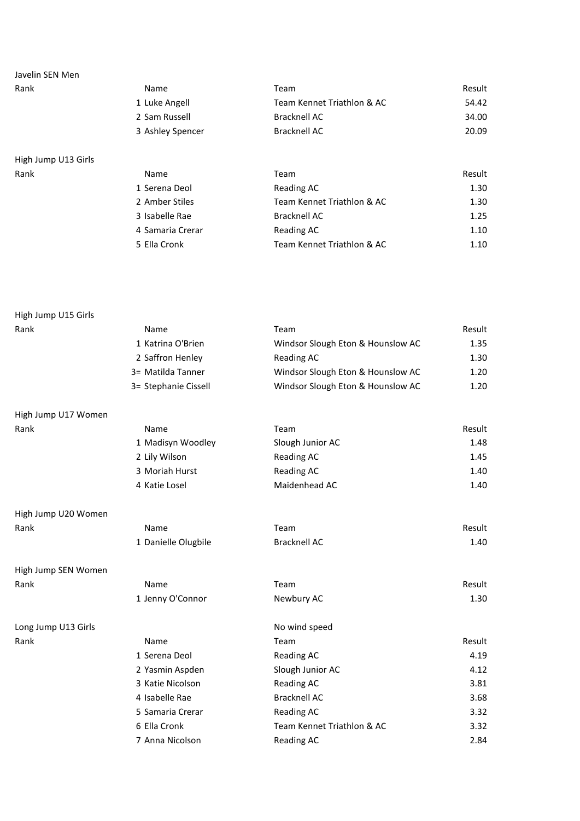| Rank                | Name             | Team                       | Result |
|---------------------|------------------|----------------------------|--------|
|                     | 1 Luke Angell    | Team Kennet Triathlon & AC | 54.42  |
|                     | 2 Sam Russell    | <b>Bracknell AC</b>        | 34.00  |
|                     | 3 Ashley Spencer | <b>Bracknell AC</b>        | 20.09  |
|                     |                  |                            |        |
| High Jump U13 Girls |                  |                            |        |

| Rank | Name             | Team                       | Result |
|------|------------------|----------------------------|--------|
|      | 1 Serena Deol    | Reading AC                 | 1.30   |
|      | 2 Amber Stiles   | Team Kennet Triathlon & AC | 1.30   |
|      | 3 Isabelle Rae   | Bracknell AC               | 1.25   |
|      | 4 Samaria Crerar | Reading AC                 | 1.10   |
|      | 5 Ella Cronk     | Team Kennet Triathlon & AC | 1.10   |

High Jump U15 Girls Rank Name Team Result 1 Katrina O'Brien Windsor Slough Eton & Hounslow AC 1.35 2 Saffron Henley **Reading AC** 1.30 3= Matilda Tanner Windsor Slough Eton & Hounslow AC 1.20 3= Stephanie Cissell Windsor Slough Eton & Hounslow AC 1.20 High Jump U17 Women Rank Name Team Result 1 Madisyn Woodley Slough Junior AC 1.48 2 Lily Wilson **Reading AC** 1.45 3 Moriah Hurst **Reading AC** 1.40 4 Katie Losel **Maidenhead AC** 1.40 High Jump U20 Women Rank Name Team Result 1 Danielle Olugbile Bracknell AC 1.40 High Jump SEN Women Rank Name Team Result 1 Jenny O'Connor Newbury AC 1.30 Long Jump U13 Girls Nowind speed Rank Name Team Result 1 Serena Deol **Reading AC** 4.19 2 Yasmin Aspden Slough Junior AC 4.12 3 Katie Nicolson **Reading AC** 3.81 4 Isabelle Rae 3.68 5 Samaria Crerar **Reading AC** 3.32 6 Ella Cronk Team Kennet Triathlon & AC 3.32 7 Anna Nicolson **Reading AC** 2.84